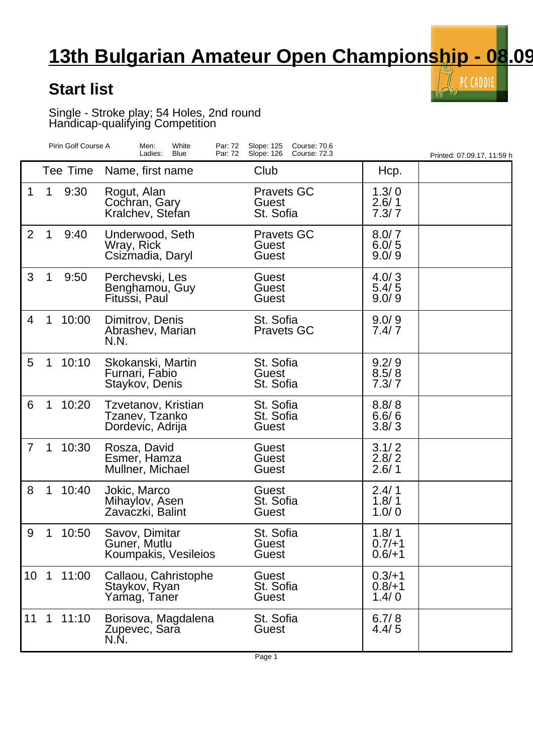## **13th Bulgarian Amateur Open Championship - 08.09**

 $\tilde{\mathbb{I}}$  PC CADDIE

V)

## **Start list**

Single - Stroke play; 54 Holes, 2nd round Handicap-qualifying Competition

|                 |             | Pirin Golf Course A | Men:<br>White<br>Par: 72<br>Blue<br>Par: 72<br>Ladies:    | Slope: 125<br>Course: 70.6<br>Slope: 126<br>Course: 72.3 |                               | Printed: 07.09.17, 11:59 h |
|-----------------|-------------|---------------------|-----------------------------------------------------------|----------------------------------------------------------|-------------------------------|----------------------------|
|                 |             | Tee Time            | Name, first name                                          | Club                                                     | Hcp.                          |                            |
| 1               | 1           | 9:30                | Rogut, Alan<br>Cochran, Gary<br>Kralchev, Stefan          | <b>Pravets GC</b><br>Guest<br>St. Sofia                  | 1.3/0<br>2.6/1<br>7.3/7       |                            |
| $\overline{2}$  | 1           | 9:40                | Underwood, Seth<br>Wray, Rick<br>Csizmadia, Daryl         | <b>Pravets GC</b><br>Guest<br>Guest                      | 8.0/7<br>6.0/5<br>9.0/9       |                            |
| 3               | 1           | 9:50                | Perchevski, Les<br>Benghamou, Guy<br>Fitussi, Paul        | Guest<br>Guest<br>Guest                                  | 4.0/3<br>5.4/5<br>9.0/9       |                            |
| 4               | 1           | 10:00               | Dimitrov, Denis<br>Abrashev, Marian<br>N.N.               | St. Sofia<br><b>Pravets GC</b>                           | 9.0/9<br>7.4/7                |                            |
| 5               | 1           | 10:10               | Skokanski, Martin<br>Furnari, Fabio<br>Staykov, Denis     | St. Sofia<br>Guest<br>St. Sofia                          | 9.2/9<br>8.5/8<br>7.3/7       |                            |
| 6               | 1           | 10:20               | Tzvetanov, Kristian<br>Tzanev, Tzanko<br>Dordevic, Adrija | St. Sofia<br>St. Sofia<br>Guest                          | 8.8/8<br>6.6/6<br>3.8/3       |                            |
| $\overline{7}$  | 1           | 10:30               | Rosza, David<br>Esmer, Hamza<br>Mullner, Michael          | Guest<br>Guest<br>Guest                                  | 3.1/2<br>2.8/2<br>2.6/1       |                            |
| 8               | 1           | 10:40               | Jokic, Marco<br>Mihaylov, Asen<br>Zavaczki, Balint        | Guest<br>St. Sofia<br>Guest                              | 2.4/1<br>1.8/1<br>1.0/0       |                            |
| 9               | 1           | 10:50               | Savov, Dimitar<br>Guner, Mutlu<br>Koumpakis, Vesileios    | St. Sofia<br>Guest<br>Guest                              | 1.8/1<br>$0.7/+1$<br>$0.6/+1$ |                            |
| 10 <sup>°</sup> | $\mathbf 1$ | 11:00               | Callaou, Cahristophe<br>Staykov, Ryan<br>Yamag, Taner     | Guest<br>St. Sofia<br>Guest                              | $0.3/+1$<br>$0.8/+1$<br>1.4/0 |                            |
| 11              | $\mathbf 1$ | 11:10               | Borisova, Magdalena<br>Zupevec, Sara<br>N.N.              | St. Sofia<br>Guest                                       | 6.7/8<br>4.4/5                |                            |